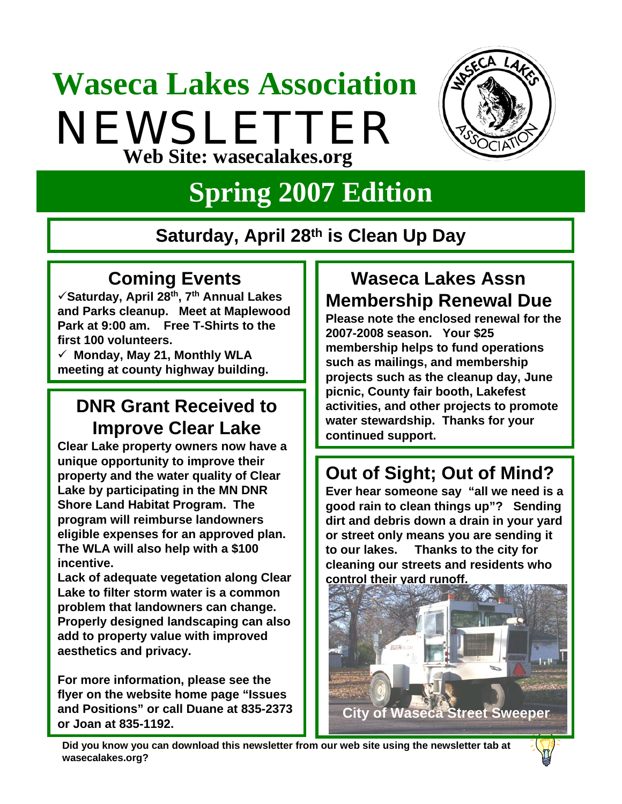# **Waseca Lakes Association** NEWSLETTER **Web Site: wasecalakes.org**



## **Spring 2007 Edition**

#### **Saturday, April 28th is Clean Up Day**

#### **Coming Events**

9**Saturday, April 28th, 7th Annual Lakes and Parks cleanup. Meet at Maplewood Park at 9:00 am. Free T-Shirts to the first 100 volunteers.**

9 **Monday, May 21, Monthly WLA meeting at county highway building.** 

#### **DNR Grant Received to Improve Clear Lake**

**Clear Lake property owners now have a unique opportunity to improve their property and the water quality of Clear Lake by participating in the MN DNR Shore Land Habitat Program. The program will reimburse landowners eligible expenses for an approved plan. The WLA will also help with a \$100 incentive.**

**Lack of adequate vegetation along Clear Lake to filter storm water is a common problem that landowners can change. Properly designed landscaping can also add to property value with improved aesthetics and privacy.** 

**For more information, please see the flyer on the website home page "Issues and Positions" or call Duane at 835-2373 or Joan at 835-1192.**

## **Waseca Lakes Assn Membership Renewal Due**

**Please note the enclosed renewal for the 2007-2008 season. Your \$25 membership helps to fund operations such as mailings, and membership projects such as the cleanup day, June picnic, County fair booth, Lakefest activities, and other projects to promote water stewardship. Thanks for your continued support.**

## **Out of Sight; Out of Mind?**

**Ever hear someone say "all we need is a good rain to clean things up"? Sending dirt and debris down a drain in your yard or street only means you are sending it to our lakes. Thanks to the city for cleaning our streets and residents who control their yard runoff.**